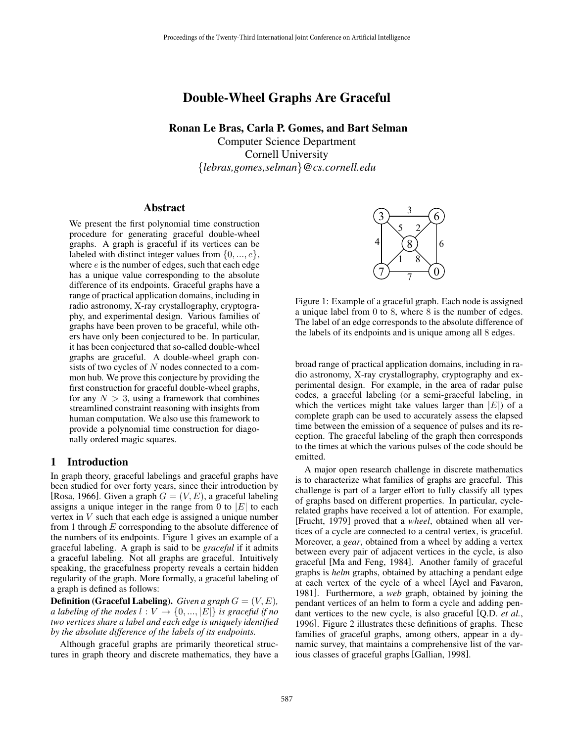# Double-Wheel Graphs Are Graceful

Ronan Le Bras, Carla P. Gomes, and Bart Selman

Computer Science Department Cornell University {*lebras,gomes,selman*}*@cs.cornell.edu*

#### Abstract

We present the first polynomial time construction procedure for generating graceful double-wheel graphs. A graph is graceful if its vertices can be labeled with distinct integer values from  $\{0, ..., e\}$ , where  $e$  is the number of edges, such that each edge has a unique value corresponding to the absolute difference of its endpoints. Graceful graphs have a range of practical application domains, including in radio astronomy, X-ray crystallography, cryptography, and experimental design. Various families of graphs have been proven to be graceful, while others have only been conjectured to be. In particular, it has been conjectured that so-called double-wheel graphs are graceful. A double-wheel graph consists of two cycles of  $N$  nodes connected to a common hub. We prove this conjecture by providing the first construction for graceful double-wheel graphs, for any  $N > 3$ , using a framework that combines streamlined constraint reasoning with insights from human computation. We also use this framework to provide a polynomial time construction for diagonally ordered magic squares.

#### **Introduction**

In graph theory, graceful labelings and graceful graphs have been studied for over forty years, since their introduction by [Rosa, 1966]. Given a graph  $G = (V, E)$ , a graceful labeling assigns a unique integer in the range from 0 to  $|E|$  to each vertex in V such that each edge is assigned a unique number from 1 through  $E$  corresponding to the absolute difference of the numbers of its endpoints. Figure 1 gives an example of a graceful labeling. A graph is said to be *graceful* if it admits a graceful labeling. Not all graphs are graceful. Intuitively speaking, the gracefulness property reveals a certain hidden regularity of the graph. More formally, a graceful labeling of a graph is defined as follows:

**Definition (Graceful Labeling).** *Given a graph*  $G = (V, E)$ *, a labeling of the nodes*  $l : V \rightarrow \{0, ..., |E|\}$  *is graceful if no two vertices share a label and each edge is uniquely identified by the absolute difference of the labels of its endpoints.*

Although graceful graphs are primarily theoretical structures in graph theory and discrete mathematics, they have a



Figure 1: Example of a graceful graph. Each node is assigned a unique label from 0 to 8, where 8 is the number of edges. The label of an edge corresponds to the absolute difference of the labels of its endpoints and is unique among all 8 edges.

broad range of practical application domains, including in radio astronomy, X-ray crystallography, cryptography and experimental design. For example, in the area of radar pulse codes, a graceful labeling (or a semi-graceful labeling, in which the vertices might take values larger than  $|E|$ ) of a complete graph can be used to accurately assess the elapsed time between the emission of a sequence of pulses and its reception. The graceful labeling of the graph then corresponds to the times at which the various pulses of the code should be emitted.

A major open research challenge in discrete mathematics is to characterize what families of graphs are graceful. This challenge is part of a larger effort to fully classify all types of graphs based on different properties. In particular, cyclerelated graphs have received a lot of attention. For example, [Frucht, 1979] proved that a *wheel*, obtained when all vertices of a cycle are connected to a central vertex, is graceful. Moreover, a *gear*, obtained from a wheel by adding a vertex between every pair of adjacent vertices in the cycle, is also graceful [Ma and Feng, 1984]. Another family of graceful graphs is *helm* graphs, obtained by attaching a pendant edge at each vertex of the cycle of a wheel [Ayel and Favaron, 1981]. Furthermore, a *web* graph, obtained by joining the pendant vertices of an helm to form a cycle and adding pendant vertices to the new cycle, is also graceful [Q.D. *et al.*, 1996]. Figure 2 illustrates these definitions of graphs. These families of graceful graphs, among others, appear in a dynamic survey, that maintains a comprehensive list of the various classes of graceful graphs [Gallian, 1998].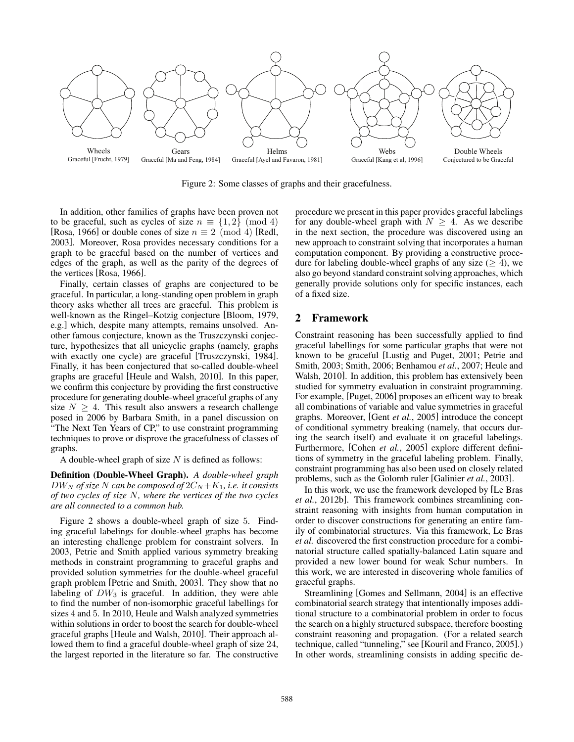

Figure 2: Some classes of graphs and their gracefulness.

In addition, other families of graphs have been proven not to be graceful, such as cycles of size  $n \equiv \{1,2\} \pmod{4}$ [Rosa, 1966] or double cones of size  $n \equiv 2 \pmod{4}$  [Redl, 2003]. Moreover, Rosa provides necessary conditions for a graph to be graceful based on the number of vertices and edges of the graph, as well as the parity of the degrees of the vertices [Rosa, 1966].

Finally, certain classes of graphs are conjectured to be graceful. In particular, a long-standing open problem in graph theory asks whether all trees are graceful. This problem is well-known as the Ringel–Kotzig conjecture [Bloom, 1979, e.g.] which, despite many attempts, remains unsolved. Another famous conjecture, known as the Truszczynski conjecture, hypothesizes that all unicyclic graphs (namely, graphs with exactly one cycle) are graceful [Truszczynski, 1984]. Finally, it has been conjectured that so-called double-wheel graphs are graceful [Heule and Walsh, 2010]. In this paper, we confirm this conjecture by providing the first constructive procedure for generating double-wheel graceful graphs of any size  $N \geq 4$ . This result also answers a research challenge posed in 2006 by Barbara Smith, in a panel discussion on "The Next Ten Years of CP," to use constraint programming techniques to prove or disprove the gracefulness of classes of graphs.

A double-wheel graph of size  $N$  is defined as follows:

Definition (Double-Wheel Graph). *A double-wheel graph*  $DW_N$  of size N can be composed of  $2C_N + K_1$ , i.e. it consists *of two cycles of size* N*, where the vertices of the two cycles are all connected to a common hub.*

Figure 2 shows a double-wheel graph of size 5. Finding graceful labelings for double-wheel graphs has become an interesting challenge problem for constraint solvers. In 2003, Petrie and Smith applied various symmetry breaking methods in constraint programming to graceful graphs and provided solution symmetries for the double-wheel graceful graph problem [Petrie and Smith, 2003]. They show that no labeling of  $DW_3$  is graceful. In addition, they were able to find the number of non-isomorphic graceful labellings for sizes 4 and 5. In 2010, Heule and Walsh analyzed symmetries within solutions in order to boost the search for double-wheel graceful graphs [Heule and Walsh, 2010]. Their approach allowed them to find a graceful double-wheel graph of size 24, the largest reported in the literature so far. The constructive procedure we present in this paper provides graceful labelings for any double-wheel graph with  $N \geq 4$ . As we describe in the next section, the procedure was discovered using an new approach to constraint solving that incorporates a human computation component. By providing a constructive procedure for labeling double-wheel graphs of any size  $(\geq 4)$ , we also go beyond standard constraint solving approaches, which generally provide solutions only for specific instances, each of a fixed size.

#### 2 Framework

Constraint reasoning has been successfully applied to find graceful labellings for some particular graphs that were not known to be graceful [Lustig and Puget, 2001; Petrie and Smith, 2003; Smith, 2006; Benhamou *et al.*, 2007; Heule and Walsh, 2010]. In addition, this problem has extensively been studied for symmetry evaluation in constraint programming. For example, [Puget, 2006] proposes an efficent way to break all combinations of variable and value symmetries in graceful graphs. Moreover, [Gent *et al.*, 2005] introduce the concept of conditional symmetry breaking (namely, that occurs during the search itself) and evaluate it on graceful labelings. Furthermore, [Cohen *et al.*, 2005] explore different definitions of symmetry in the graceful labeling problem. Finally, constraint programming has also been used on closely related problems, such as the Golomb ruler [Galinier *et al.*, 2003].

In this work, we use the framework developed by [Le Bras *et al.*, 2012b]. This framework combines streamlining constraint reasoning with insights from human computation in order to discover constructions for generating an entire family of combinatorial structures. Via this framework, Le Bras *et al.* discovered the first construction procedure for a combinatorial structure called spatially-balanced Latin square and provided a new lower bound for weak Schur numbers. In this work, we are interested in discovering whole families of graceful graphs.

Streamlining [Gomes and Sellmann, 2004] is an effective combinatorial search strategy that intentionally imposes additional structure to a combinatorial problem in order to focus the search on a highly structured subspace, therefore boosting constraint reasoning and propagation. (For a related search technique, called "tunneling," see [Kouril and Franco, 2005].) In other words, streamlining consists in adding specific de-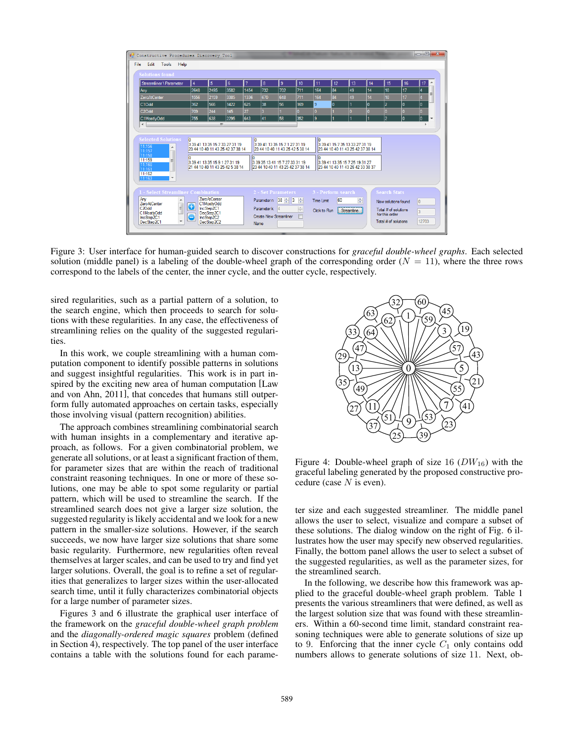| $\begin{array}{c c c c c} \hline \multicolumn{1}{c }{\textbf{}} & \multicolumn{1}{c }{\textbf{}} \end{array}$<br><sup>o</sup> Constructive Procedures Discovery Tool<br>Edit<br><b>Tools</b><br>Help<br>File |                             |                                                                                                                                        |      |             |                                                                                                                                        |     |              |                                                  |                                                                                                                                          |                 |     |                                                                                                              |     |                              |   |
|--------------------------------------------------------------------------------------------------------------------------------------------------------------------------------------------------------------|-----------------------------|----------------------------------------------------------------------------------------------------------------------------------------|------|-------------|----------------------------------------------------------------------------------------------------------------------------------------|-----|--------------|--------------------------------------------------|------------------------------------------------------------------------------------------------------------------------------------------|-----------------|-----|--------------------------------------------------------------------------------------------------------------|-----|------------------------------|---|
| <b>Solutions found</b>                                                                                                                                                                                       |                             |                                                                                                                                        |      |             |                                                                                                                                        |     |              |                                                  |                                                                                                                                          |                 |     |                                                                                                              |     |                              |   |
| Streamliner \ Parameter                                                                                                                                                                                      | 14                          | 5                                                                                                                                      | 6    | 17          | 8                                                                                                                                      | 9   | 10           | 11                                               | 12                                                                                                                                       | 13              | 14  | 15                                                                                                           | 16  | 17                           |   |
| Any                                                                                                                                                                                                          | 2648                        | 2495                                                                                                                                   | 3582 | 1454        | 732                                                                                                                                    | 702 | 711          | 164                                              | 84                                                                                                                                       | 49              | 14  | 10 <sup>10</sup>                                                                                             | 17  | $\overline{4}$               |   |
| ZeroAtCenter                                                                                                                                                                                                 | 1556                        | 2159                                                                                                                                   | 3385 | 1336        | 670                                                                                                                                    | 648 | 711          | 164                                              | 84                                                                                                                                       | 49              | 14  | 10 <sub>10</sub>                                                                                             | 17  | $\overline{\mathbf{4}}$      |   |
| C10dd                                                                                                                                                                                                        | 362                         | 566                                                                                                                                    | 1422 | 625         | 38                                                                                                                                     | 56  | 169          | 9                                                | o                                                                                                                                        | 1               | o   | 2                                                                                                            | 10  | lo.                          |   |
| C <sub>2</sub> O <sub>dd</sub>                                                                                                                                                                               | 709                         | 244                                                                                                                                    | 145  | 27          | l3.                                                                                                                                    |     | $\mathbf{0}$ | $\overline{0}$                                   |                                                                                                                                          | $\overline{0}$  | lo. | lo.                                                                                                          | lo. | $\overline{0}$               |   |
| C1MostlyOdd<br>$\leftarrow$                                                                                                                                                                                  | 755                         | 638                                                                                                                                    | 2295 | 643         | 41                                                                                                                                     | 58  | 352          | ۹                                                | 1                                                                                                                                        | 1               | h   | l2                                                                                                           | lo  | lo.                          | ٠ |
| <b>Selected Solutions</b><br>11:156<br>۸<br>11:157<br>11:158<br>11:159<br>Ξ<br>11:160<br>11:161<br>11:162<br>11:163<br>$\overline{\phantom{a}}$                                                              |                             | 3 39 41 13 35 15 7 33 27 31 19<br>23 44 10 40 11 43 25 42 37 38 14<br>3 39 41 13 35 15 9 1 27 31 19<br>21 44 10 40 11 43 25 42 5 38 14 |      | In          | 3 39 41 13 35 15 7 1 27 31 19<br>23 44 10 40 11 43 25 42 5 38 14<br>3 39 35 13 41 15 7 27 33 31 19<br>23 44 10 40 11 43 25 42 37 38 14 |     |              | In                                               | 3 39 41 15 7 35 13 33 27 31 19<br>23 44 10 40 11 43 25 42 37 38 14<br>3 39 41 13 35 15 7 25 19 31 27<br>23 44 10 40 11 43 26 42 33 38 37 |                 |     |                                                                                                              |     |                              |   |
| 1 - Select Streamliner Combination<br>Any<br>Ä.<br><b>ZeroAtCenter</b><br>$\equiv$<br>C <sub>20dd</sub><br>C1MostlvOdd<br>IncStep2C1<br>$\overline{\phantom{a}}$<br>DecStep2C1                               | $\bullet$<br>$\blacksquare$ | <b>ZeroAtCenter</b><br>C1MostlvOdd<br>IncStep2C1<br>DecStep2C1<br>IncStep2C2<br>DecStep2C2                                             |      | <b>Name</b> | 2 - Set Parameters<br>Parametern 38 $\frac{1}{2}$ 3 $\frac{1}{2}$<br>Parameter k 4<br><b>Create New Streamliner</b>                    |     | $\div$       | 3 - Perform search<br>Time Limit<br>Click to Run | 60                                                                                                                                       | 수<br>Streamline |     | <b>Search Stats</b><br>New solutions found<br>Total # of solutions<br>for this order<br>Total # of solutions |     | $\overline{0}$<br>3<br>12703 |   |

Figure 3: User interface for human-guided search to discover constructions for *graceful double-wheel graphs*. Each selected solution (middle panel) is a labeling of the double-wheel graph of the corresponding order  $(N = 11)$ , where the three rows correspond to the labels of the center, the inner cycle, and the outter cycle, respectively.

sired regularities, such as a partial pattern of a solution, to the search engine, which then proceeds to search for solutions with these regularities. In any case, the effectiveness of streamlining relies on the quality of the suggested regularities.

In this work, we couple streamlining with a human computation component to identify possible patterns in solutions and suggest insightful regularities. This work is in part inspired by the exciting new area of human computation [Law and von Ahn, 2011], that concedes that humans still outperform fully automated approaches on certain tasks, especially those involving visual (pattern recognition) abilities.

The approach combines streamlining combinatorial search with human insights in a complementary and iterative approach, as follows. For a given combinatorial problem, we generate all solutions, or at least a significant fraction of them, for parameter sizes that are within the reach of traditional constraint reasoning techniques. In one or more of these solutions, one may be able to spot some regularity or partial pattern, which will be used to streamline the search. If the streamlined search does not give a larger size solution, the suggested regularity is likely accidental and we look for a new pattern in the smaller-size solutions. However, if the search succeeds, we now have larger size solutions that share some basic regularity. Furthermore, new regularities often reveal themselves at larger scales, and can be used to try and find yet larger solutions. Overall, the goal is to refine a set of regularities that generalizes to larger sizes within the user-allocated search time, until it fully characterizes combinatorial objects for a large number of parameter sizes.

Figures 3 and 6 illustrate the graphical user interface of the framework on the *graceful double-wheel graph problem* and the *diagonally-ordered magic squares* problem (defined in Section 4), respectively. The top panel of the user interface contains a table with the solutions found for each parame-



Figure 4: Double-wheel graph of size 16  $(DW_{16})$  with the graceful labeling generated by the proposed constructive procedure (case  $N$  is even).

ter size and each suggested streamliner. The middle panel allows the user to select, visualize and compare a subset of these solutions. The dialog window on the right of Fig. 6 illustrates how the user may specify new observed regularities. Finally, the bottom panel allows the user to select a subset of the suggested regularities, as well as the parameter sizes, for the streamlined search.

In the following, we describe how this framework was applied to the graceful double-wheel graph problem. Table 1 presents the various streamliners that were defined, as well as the largest solution size that was found with these streamliners. Within a 60-second time limit, standard constraint reasoning techniques were able to generate solutions of size up to 9. Enforcing that the inner cycle  $C_1$  only contains odd numbers allows to generate solutions of size 11. Next, ob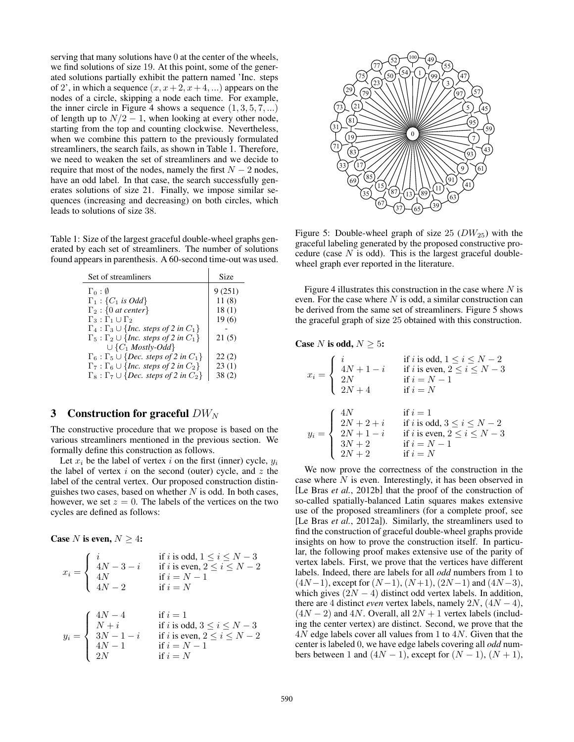serving that many solutions have 0 at the center of the wheels, we find solutions of size 19. At this point, some of the generated solutions partially exhibit the pattern named 'Inc. steps of 2', in which a sequence  $(x, x+2, x+4, ...)$  appears on the nodes of a circle, skipping a node each time. For example, the inner circle in Figure 4 shows a sequence  $(1, 3, 5, 7, ...)$ of length up to  $N/2 - 1$ , when looking at every other node, starting from the top and counting clockwise. Nevertheless, when we combine this pattern to the previously formulated streamliners, the search fails, as shown in Table 1. Therefore, we need to weaken the set of streamliners and we decide to require that most of the nodes, namely the first  $N - 2$  nodes, have an odd label. In that case, the search successfully generates solutions of size 21. Finally, we impose similar sequences (increasing and decreasing) on both circles, which leads to solutions of size 38.

Table 1: Size of the largest graceful double-wheel graphs generated by each set of streamliners. The number of solutions found appears in parenthesis. A 60-second time-out was used.

| Set of streamliners                                               | Size   |  |  |  |
|-------------------------------------------------------------------|--------|--|--|--|
| $\Gamma_0: \emptyset$                                             | 9(251) |  |  |  |
| $\Gamma_1$ : { $C_1$ is Odd}                                      | 11(8)  |  |  |  |
| $\Gamma_2$ : {0 at center}                                        | 18(1)  |  |  |  |
| $\Gamma_3: \Gamma_1 \cup \Gamma_2$                                | 19(6)  |  |  |  |
| $\Gamma_4: \Gamma_3 \cup \{Inc. \ steps \ of \ 2 \ in \ C_1\}$    |        |  |  |  |
| $\Gamma_5: \Gamma_2 \cup \{Inc. \ steps \ of \ 2 \ in \ C_1\}$    | 21(5)  |  |  |  |
| $\cup \{C_1 \text{ Mostly-Odd}\}\$                                |        |  |  |  |
| $\Gamma_6$ : $\Gamma_5 \cup \{Dec.~steps~of~2~in~C_1\}$           | 22(2)  |  |  |  |
| $\Gamma_7$ : $\Gamma_6 \cup \{Inc. \ steps \ of \ 2 \ in \ C_2\}$ | 23(1)  |  |  |  |
| $\Gamma_8: \Gamma_7 \cup \{Dec. \ steps \ of \ 2 \ in \ C_2\}$    | 38(2)  |  |  |  |

#### 3 Construction for graceful  $DW_N$

The constructive procedure that we propose is based on the various streamliners mentioned in the previous section. We formally define this construction as follows.

Let  $x_i$  be the label of vertex i on the first (inner) cycle,  $y_i$ the label of vertex  $i$  on the second (outer) cycle, and  $z$  the label of the central vertex. Our proposed construction distinguishes two cases, based on whether  $N$  is odd. In both cases, however, we set  $z = 0$ . The labels of the vertices on the two cycles are defined as follows:

Case N is even,  $N \geq 4$ :

$$
x_i = \begin{cases} i & \text{if } i \text{ is odd, } 1 \leq i \leq N-3 \\ 4N-3-i & \text{if } i \text{ is even, } 2 \leq i \leq N-2 \\ 4N & \text{if } i = N-1 \\ 4N-2 & \text{if } i = N \end{cases}
$$

$$
y_i = \begin{cases} 4N-4 & \text{if } i = 1 \\ N+i & \text{if } i \text{ is odd, } 3 \leq i \leq N-3 \\ 3N-1-i & \text{if } i \text{ is even, } 2 \leq i \leq N-2 \\ 4N-1 & \text{if } i = N-1 \\ 2N & \text{if } i = N \end{cases}
$$



Figure 5: Double-wheel graph of size 25  $(DW_{25})$  with the graceful labeling generated by the proposed constructive procedure (case  $N$  is odd). This is the largest graceful doublewheel graph ever reported in the literature.

Figure 4 illustrates this construction in the case where  $N$  is even. For the case where  $N$  is odd, a similar construction can be derived from the same set of streamliners. Figure 5 shows the graceful graph of size 25 obtained with this construction.

#### Case N is odd,  $N \geq 5$ :

$$
x_i = \begin{cases} i & \text{if } i \text{ is odd, } 1 \leq i \leq N-2 \\ 4N+1-i & \text{if } i \text{ is even, } 2 \leq i \leq N-3 \\ 2N & \text{if } i = N-1 \\ 2N+4 & \text{if } i = N \end{cases}
$$

$$
y_i = \begin{cases} 4N & \text{if } i = 1 \\ 2N+2+i & \text{if } i \text{ is odd, } 3 \leq i \leq N-2 \\ 2N+1-i & \text{if } i \text{ is even, } 2 \leq i \leq N-3 \\ 3N+2 & \text{if } i = N-1 \\ 2N+2 & \text{if } i = N \end{cases}
$$

We now prove the correctness of the construction in the case where  $N$  is even. Interestingly, it has been observed in [Le Bras *et al.*, 2012b] that the proof of the construction of so-called spatially-balanced Latin squares makes extensive use of the proposed streamliners (for a complete proof, see [Le Bras *et al.*, 2012a]). Similarly, the streamliners used to find the construction of graceful double-wheel graphs provide insights on how to prove the construction itself. In particular, the following proof makes extensive use of the parity of vertex labels. First, we prove that the vertices have different labels. Indeed, there are labels for all *odd* numbers from 1 to  $(4N-1)$ , except for  $(N-1)$ ,  $(N+1)$ ,  $(2N-1)$  and  $(4N-3)$ , which gives  $(2N - 4)$  distinct odd vertex labels. In addition, there are 4 distinct *even* vertex labels, namely  $2N$ ,  $(4N - 4)$ ,  $(4N - 2)$  and 4N. Overall, all  $2N + 1$  vertex labels (including the center vertex) are distinct. Second, we prove that the 4N edge labels cover all values from 1 to 4N. Given that the center is labeled 0, we have edge labels covering all *odd* numbers between 1 and  $(4N - 1)$ , except for  $(N - 1)$ ,  $(N + 1)$ ,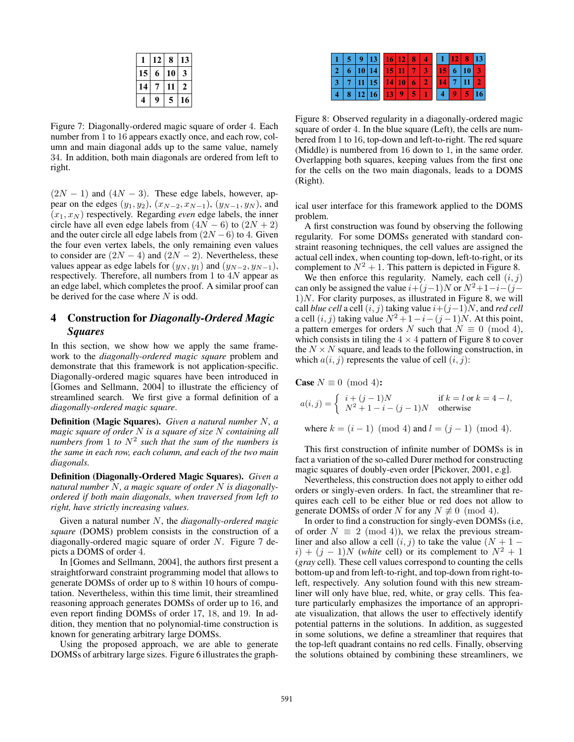|    | 12 | 8  | 13           |
|----|----|----|--------------|
| 15 | 6  | 10 | 3            |
| 14 |    |    | $\mathbf{z}$ |
|    | 9  | 5  | 16           |

Figure 7: Diagonally-ordered magic square of order 4. Each number from 1 to 16 appears exactly once, and each row, column and main diagonal adds up to the same value, namely 34. In addition, both main diagonals are ordered from left to right.

 $(2N - 1)$  and  $(4N - 3)$ . These edge labels, however, appear on the edges  $(y_1, y_2)$ ,  $(x_{N-2}, x_{N-1})$ ,  $(y_{N-1}, y_N)$ , and  $(x_1, x_N)$  respectively. Regarding *even* edge labels, the inner circle have all even edge labels from  $(4N - 6)$  to  $(2N + 2)$ and the outer circle all edge labels from  $(2N - 6)$  to 4. Given the four even vertex labels, the only remaining even values to consider are  $(2N - 4)$  and  $(2N - 2)$ . Nevertheless, these values appear as edge labels for  $(y_N, y_1)$  and  $(y_{N-2}, y_{N-1})$ , respectively. Therefore, all numbers from 1 to 4N appear as an edge label, which completes the proof. A similar proof can be derived for the case where  $N$  is odd.

## 4 Construction for *Diagonally-Ordered Magic Squares*

In this section, we show how we apply the same framework to the *diagonally-ordered magic square* problem and demonstrate that this framework is not application-specific. Diagonally-ordered magic squares have been introduced in [Gomes and Sellmann, 2004] to illustrate the efficiency of streamlined search. We first give a formal definition of a *diagonally-ordered magic square*.

Definition (Magic Squares). *Given a natural number* N*, a magic square of order* N *is a square of size* N *containing all numbers from* 1 *to* N<sup>2</sup> *such that the sum of the numbers is the same in each row, each column, and each of the two main diagonals.*

Definition (Diagonally-Ordered Magic Squares). *Given a natural number* N*, a magic square of order* N *is diagonallyordered if both main diagonals, when traversed from left to right, have strictly increasing values.*

Given a natural number N, the *diagonally-ordered magic square* (DOMS) problem consists in the construction of a diagonally-ordered magic square of order N. Figure 7 depicts a DOMS of order 4.

In [Gomes and Sellmann, 2004], the authors first present a straightforward constraint programming model that allows to generate DOMSs of order up to 8 within 10 hours of computation. Nevertheless, within this time limit, their streamlined reasoning approach generates DOMSs of order up to 16, and even report finding DOMSs of order 17, 18, and 19. In addition, they mention that no polynomial-time construction is known for generating arbitrary large DOMSs.

Using the proposed approach, we are able to generate DOMSs of arbitrary large sizes. Figure 6 illustrates the graph-

|  | 9 13 16 12 8          |  |  |  |                         | $1 \mid 12 \mid 8 \mid 13$ |  |
|--|-----------------------|--|--|--|-------------------------|----------------------------|--|
|  | 6   10   14   15   11 |  |  |  | 15 6 10                 |                            |  |
|  | $ 7 11 15 $ 14 10     |  |  |  | $4 \mid 7 \mid 11 \mid$ |                            |  |
|  | 8 12 16 13            |  |  |  |                         | Æ                          |  |

Figure 8: Observed regularity in a diagonally-ordered magic square of order 4. In the blue square (Left), the cells are numbered from 1 to 16, top-down and left-to-right. The red square (Middle) is numbered from 16 down to 1, in the same order. Overlapping both squares, keeping values from the first one for the cells on the two main diagonals, leads to a DOMS (Right).

ical user interface for this framework applied to the DOMS problem.

A first construction was found by observing the following regularity. For some DOMSs generated with standard constraint reasoning techniques, the cell values are assigned the actual cell index, when counting top-down, left-to-right, or its complement to  $N^2 + 1$ . This pattern is depicted in Figure 8.

We then enforce this regularity. Namely, each cell  $(i, j)$ can only be assigned the value  $i+(j-1)N$  or  $N^2+1-i-(j-1)N$  $1$ )*N*. For clarity purposes, as illustrated in Figure 8, we will call *blue cell* a cell  $(i, j)$  taking value  $i+(j-1)N$ , and *red cell* a cell  $(i, j)$  taking value  $N^2 + 1 - i - (j - 1)N$ . At this point, a pattern emerges for orders N such that  $N \equiv 0 \pmod{4}$ , which consists in tiling the  $4 \times 4$  pattern of Figure 8 to cover the  $N \times N$  square, and leads to the following construction, in which  $a(i, j)$  represents the value of cell  $(i, j)$ :

**Case** 
$$
N \equiv 0 \pmod{4}
$$
**:**  
 $a(i, j) = \begin{cases} i + (j - 1)N & \text{if } k = l \text{ or } k = 4 - l, \\ N^2 + 1 - i - (j - 1)N & \text{otherwise} \end{cases}$ 

where  $k = (i - 1) \pmod{4}$  and  $l = (j - 1) \pmod{4}$ .

This first construction of infinite number of DOMSs is in fact a variation of the so-called Durer method for constructing magic squares of doubly-even order [Pickover, 2001, e.g].

Nevertheless, this construction does not apply to either odd orders or singly-even orders. In fact, the streamliner that requires each cell to be either blue or red does not allow to generate DOMSs of order N for any  $N \not\equiv 0 \pmod{4}$ .

In order to find a construction for singly-even DOMSs (i.e, of order  $N \equiv 2 \pmod{4}$ , we relax the previous streamliner and also allow a cell  $(i, j)$  to take the value  $(N + 1$  $i) + (j - 1)N$  (*white* cell) or its complement to  $N^2 + 1$ (*gray* cell). These cell values correspond to counting the cells bottom-up and from left-to-right, and top-down from right-toleft, respectively. Any solution found with this new streamliner will only have blue, red, white, or gray cells. This feature particularly emphasizes the importance of an appropriate visualization, that allows the user to effectively identify potential patterns in the solutions. In addition, as suggested in some solutions, we define a streamliner that requires that the top-left quadrant contains no red cells. Finally, observing the solutions obtained by combining these streamliners, we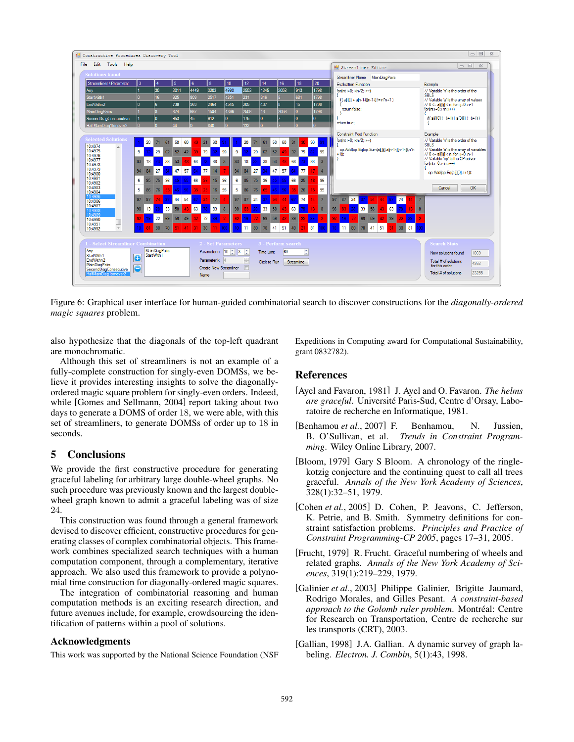

Figure 6: Graphical user interface for human-guided combinatorial search to discover constructions for the *diagonally-ordered magic squares* problem.

also hypothesize that the diagonals of the top-left quadrant are monochromatic.

Although this set of streamliners is not an example of a fully-complete construction for singly-even DOMSs, we believe it provides interesting insights to solve the diagonallyordered magic square problem for singly-even orders. Indeed, while [Gomes and Sellmann, 2004] report taking about two days to generate a DOMS of order 18, we were able, with this set of streamliners, to generate DOMSs of order up to 18 in seconds.

## 5 Conclusions

We provide the first constructive procedure for generating graceful labeling for arbitrary large double-wheel graphs. No such procedure was previously known and the largest doublewheel graph known to admit a graceful labeling was of size 24.

This construction was found through a general framework devised to discover efficient, constructive procedures for generating classes of complex combinatorial objects. This framework combines specialized search techniques with a human computation component, through a complementary, iterative approach. We also used this framework to provide a polynomial time construction for diagonally-ordered magic squares.

The integration of combinatorial reasoning and human computation methods is an exciting research direction, and future avenues include, for example, crowdsourcing the identification of patterns within a pool of solutions.

## Acknowledgments

This work was supported by the National Science Foundation (NSF

Expeditions in Computing award for Computational Sustainability, grant 0832782).

### References

- [Ayel and Favaron, 1981] J. Ayel and O. Favaron. *The helms are graceful*. Universite Paris-Sud, Centre d'Orsay, Labo- ´ ratoire de recherche en Informatique, 1981.
- [Benhamou et al., 2007] F. Benhamou, N. Jussien, B. O'Sullivan, et al. *Trends in Constraint Programming*. Wiley Online Library, 2007.
- [Bloom, 1979] Gary S Bloom. A chronology of the ringlekotzig conjecture and the continuing quest to call all trees graceful. *Annals of the New York Academy of Sciences*, 328(1):32–51, 1979.
- [Cohen *et al.*, 2005] D. Cohen, P. Jeavons, C. Jefferson, K. Petrie, and B. Smith. Symmetry definitions for constraint satisfaction problems. *Principles and Practice of Constraint Programming-CP 2005*, pages 17–31, 2005.
- [Frucht, 1979] R. Frucht. Graceful numbering of wheels and related graphs. *Annals of the New York Academy of Sciences*, 319(1):219–229, 1979.
- [Galinier *et al.*, 2003] Philippe Galinier, Brigitte Jaumard, Rodrigo Morales, and Gilles Pesant. *A constraint-based* approach to the Golomb ruler problem. Montréal: Centre for Research on Transportation, Centre de recherche sur les transports (CRT), 2003.
- [Gallian, 1998] J.A. Gallian. A dynamic survey of graph labeling. *Electron. J. Combin*, 5(1):43, 1998.